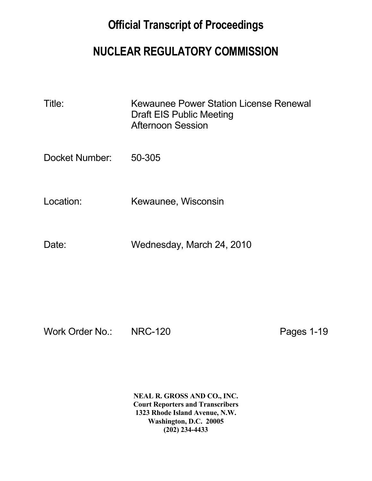## **Official Transcript of Proceedings**

## **NUCLEAR REGULATORY COMMISSION**

| Title: | Kewaunee Power Station License Renewal |
|--------|----------------------------------------|
|        | Draft EIS Public Meeting               |
|        | <b>Afternoon Session</b>               |

Docket Number: 50-305

Location: Kewaunee, Wisconsin

Date: Wednesday, March 24, 2010

Work Order No.: NRC-120 Pages 1-19

 **NEAL R. GROSS AND CO., INC. Court Reporters and Transcribers 1323 Rhode Island Avenue, N.W. Washington, D.C. 20005 (202) 234-4433**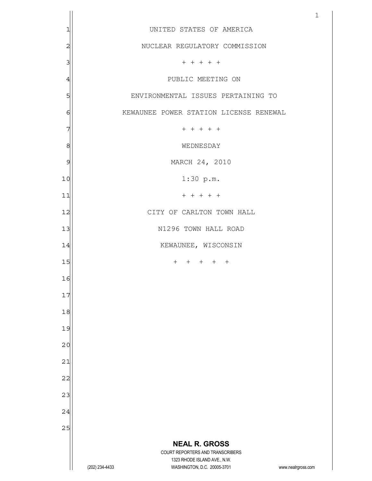|                |                                                                               | $\mathbf{1}$       |
|----------------|-------------------------------------------------------------------------------|--------------------|
| 1              | UNITED STATES OF AMERICA                                                      |                    |
| $\overline{c}$ | NUCLEAR REGULATORY COMMISSION                                                 |                    |
| 3              | $+ + + + + +$                                                                 |                    |
| $\overline{4}$ | PUBLIC MEETING ON                                                             |                    |
| 5              | ENVIRONMENTAL ISSUES PERTAINING TO                                            |                    |
| 6              | KEWAUNEE POWER STATION LICENSE RENEWAL                                        |                    |
| 7              | $+ + + + + +$                                                                 |                    |
| 8              | WEDNESDAY                                                                     |                    |
| 9              | MARCH 24, 2010                                                                |                    |
| 10             | $1:30$ p.m.                                                                   |                    |
| 11             | $+ + + + + +$                                                                 |                    |
| 12             | CITY OF CARLTON TOWN HALL                                                     |                    |
| 13             | N1296 TOWN HALL ROAD                                                          |                    |
| 14             | KEWAUNEE, WISCONSIN                                                           |                    |
| 15             | + + + + +                                                                     |                    |
| 16             |                                                                               |                    |
| 17             |                                                                               |                    |
| 18             |                                                                               |                    |
| 19             |                                                                               |                    |
| 20             |                                                                               |                    |
| 21             |                                                                               |                    |
| 22             |                                                                               |                    |
| 23             |                                                                               |                    |
| 24             |                                                                               |                    |
| 25             |                                                                               |                    |
|                | <b>NEAL R. GROSS</b><br>COURT REPORTERS AND TRANSCRIBERS                      |                    |
|                | 1323 RHODE ISLAND AVE., N.W.<br>(202) 234-4433<br>WASHINGTON, D.C. 20005-3701 | www.nealrgross.com |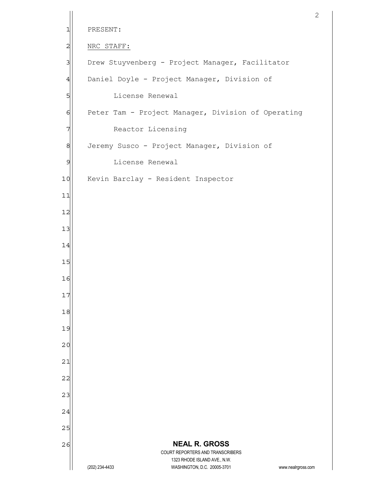```
 NEAL R. GROSS
                         COURT REPORTERS AND TRANSCRIBERS 
                            1323 RHODE ISLAND AVE., N.W. 
      (202) 234-4433 WASHINGTON, D.C. 20005-3701 www.nealrgross.com 
 1 PRESENT: 
 2 NRC STAFF:
 3 Drew Stuyvenberg - Project Manager, Facilitator
 4 Daniel Doyle - Project Manager, Division of
 5 License Renewal
 6 Peter Tam - Project Manager, Division of Operating
 7 Reactor Licensing
 8 Jeremy Susco - Project Manager, Division of
 9 License Renewal
10 Kevin Barclay - Resident Inspector
11 
12 
13 
14 
15 
16 
17 
18 
19 
20 
21 
22 
23 
24 
25 
26
```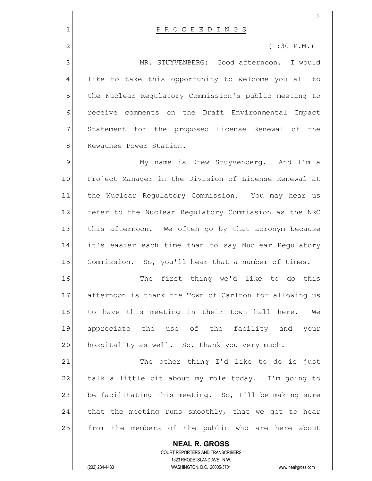|                | 3                                                                                                   |
|----------------|-----------------------------------------------------------------------------------------------------|
| 1              | PROCEEDINGS                                                                                         |
| $\overline{2}$ | $(1:30 \text{ P.M.})$                                                                               |
| 3              | MR. STUYVENBERG: Good afternoon. I would                                                            |
| 4              | like to take this opportunity to welcome you all to                                                 |
| 5              | the Nuclear Regulatory Commission's public meeting to                                               |
| $\epsilon$     | receive comments on the Draft Environmental Impact                                                  |
| 7              | Statement for the proposed License Renewal of the                                                   |
| $\,8\,$        | Kewaunee Power Station.                                                                             |
| 9              | My name is Drew Stuyvenberg. And I'm a                                                              |
| 10             | Project Manager in the Division of License Renewal at                                               |
| 11             | the Nuclear Regulatory Commission. You may hear us                                                  |
| 12             | refer to the Nuclear Regulatory Commission as the NRC                                               |
| 13             | this afternoon. We often go by that acronym because                                                 |
| 14             | it's easier each time than to say Nuclear Regulatory                                                |
| 15             | Commission. So, you'll hear that a number of times.                                                 |
| 16             | The first thing we'd like to do this                                                                |
| 17             | afternoon is thank the Town of Carlton for allowing us                                              |
| 18             | to have this meeting in their town hall here.<br>We                                                 |
| 19             | appreciate the use of the facility and your                                                         |
| 20             | hospitality as well. So, thank you very much.                                                       |
| 21             | The other thing I'd like to do is just                                                              |
| 22             | talk a little bit about my role today. I'm going to                                                 |
| 23             | be facilitating this meeting. So, I'll be making sure                                               |
| 24             | that the meeting runs smoothly, that we get to hear                                                 |
| 25             | from the members of the public who are here about                                                   |
|                | <b>NEAL R. GROSS</b>                                                                                |
|                | COURT REPORTERS AND TRANSCRIBERS                                                                    |
|                | 1323 RHODE ISLAND AVE., N.W.<br>(202) 234-4433<br>WASHINGTON, D.C. 20005-3701<br>www.nealrgross.com |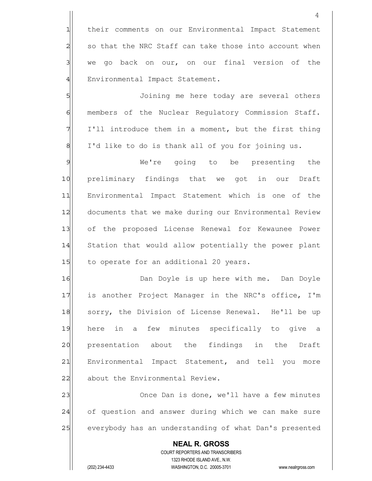1 their comments on our Environmental Impact Statement  $2$  so that the NRC Staff can take those into account when 3 we go back on our, on our final version of the 4 Environmental Impact Statement.

5 S 6 6 members of the Nuclear Regulatory Commission Staff.  $7$  I'll introduce them in a moment, but the first thing 8 I'd like to do is thank all of you for joining us.

9 Me're going to be presenting the 10 preliminary findings that we got in our Draft 11 Environmental Impact Statement which is one of the 12 documents that we make during our Environmental Review 13| of the proposed License Renewal for Kewaunee Power 14 Station that would allow potentially the power plant 15 to operate for an additional 20 years.

16 **Dan Doyle is up here with me.** Dan Doyle 17 is another Project Manager in the NRC's office, I'm 18 sorry, the Division of License Renewal. He'll be up 19 here in a few minutes specifically to give a 20 presentation about the findings in the Draft 21 Environmental Impact Statement, and tell you more 22 about the Environmental Review.

23 Once Dan is done, we'll have a few minutes 24 of question and answer during which we can make sure 25 everybody has an understanding of what Dan's presented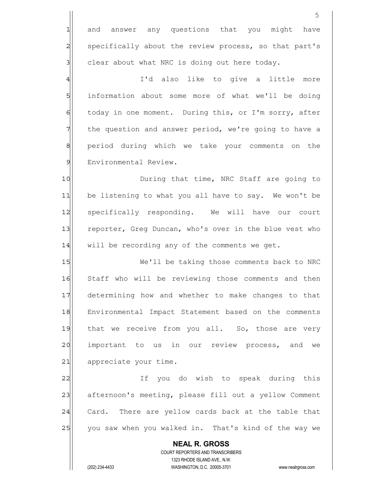**NEAL R. GROSS** COURT REPORTERS AND TRANSCRIBERS 1323 RHODE ISLAND AVE., N.W. (202) 234-4433 WASHINGTON, D.C. 20005-3701 www.nealrgross.com 1 and answer any questions that you might have 2 specifically about the review process, so that part's  $3$  clear about what NRC is doing out here today. 4 | I'd also like to give a little more 5 | information about some more of what we'll be doing 6 today in one moment. During this, or I'm sorry, after 7 The question and answer period, we're going to have a 8 8 period during which we take your comments on the 9 Environmental Review. 10 During that time, NRC Staff are going to 11 be listening to what you all have to say. We won't be 12 specifically responding. We will have our court 13 reporter, Greg Duncan, who's over in the blue vest who  $14$  will be recording any of the comments we get. 15 We'll be taking those comments back to NRC 16 Staff who will be reviewing those comments and then 17 determining how and whether to make changes to that 18 Environmental Impact Statement based on the comments 19 that we receive from you all. So, those are very 20 important to us in our review process, and we 21 appreciate your time. 22 and the vouldo wish to speak during this 23 afternoon's meeting, please fill out a yellow Comment 24 Card. There are yellow cards back at the table that 25 you saw when you walked in. That's kind of the way we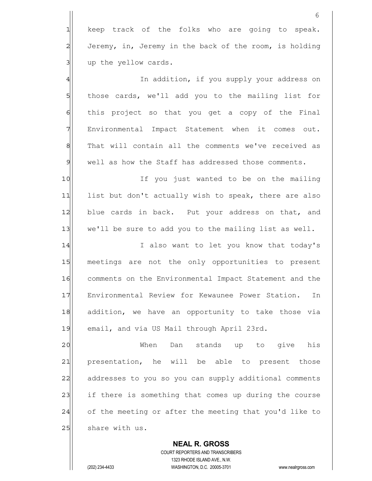|                                                                                                          | 6                                                      |
|----------------------------------------------------------------------------------------------------------|--------------------------------------------------------|
| $\mathbf{1}$                                                                                             | keep track of the folks who are going to speak.        |
| $\overline{a}$                                                                                           | Jeremy, in, Jeremy in the back of the room, is holding |
| 3                                                                                                        | up the yellow cards.                                   |
| $\overline{4}$                                                                                           | In addition, if you supply your address on             |
| 5                                                                                                        | those cards, we'll add you to the mailing list for     |
| $\epsilon$                                                                                               | this project so that you get a copy of the Final       |
| 7                                                                                                        | Environmental Impact Statement when it comes out.      |
| $\,8\,$                                                                                                  | That will contain all the comments we've received as   |
| $\mathsf{S}% _{T}=\mathsf{S}_{T}\!\left( a,b\right) ,\mathsf{S}_{T}=\mathsf{S}_{T}\!\left( a,b\right) ,$ | well as how the Staff has addressed those comments.    |
| 10                                                                                                       | If you just wanted to be on the mailing                |
| 11                                                                                                       | list but don't actually wish to speak, there are also  |
| 12                                                                                                       | blue cards in back. Put your address on that, and      |
| 13                                                                                                       | we'll be sure to add you to the mailing list as well.  |
| 14                                                                                                       | I also want to let you know that today's               |
| 15                                                                                                       | meetings are not the only opportunities to present     |
| 16                                                                                                       | comments on the Environmental Impact Statement and the |
| 17                                                                                                       | Environmental Review for Kewaunee Power Station.<br>In |
| 18                                                                                                       | addition, we have an opportunity to take those via     |
| 19                                                                                                       | email, and via US Mail through April 23rd.             |
| 20                                                                                                       | When<br>Dan<br>stands up to give<br>his                |
| 21                                                                                                       | presentation, he will be able to present those         |
| 22                                                                                                       | addresses to you so you can supply additional comments |
| 23                                                                                                       | if there is something that comes up during the course  |
| 24                                                                                                       | of the meeting or after the meeting that you'd like to |
| 25                                                                                                       | share with us.                                         |
|                                                                                                          | <b>NEAL R. GROSS</b>                                   |

 COURT REPORTERS AND TRANSCRIBERS 1323 RHODE ISLAND AVE., N.W.

 $\mathbf{\mathsf{I}}$ 

(202) 234-4433 WASHINGTON, D.C. 20005-3701 www.nealrgross.com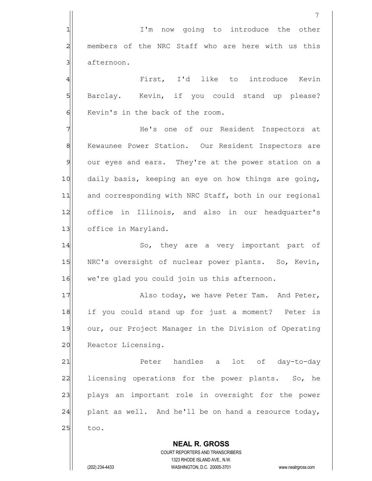|   | I'm now going to introduce the other                |
|---|-----------------------------------------------------|
| 2 | members of the NRC Staff who are here with us this  |
| 3 | afternoon.                                          |
| 4 | First, I'd like to introduce Kevin                  |
| 5 | Barclay. Kevin, if you could stand up please?       |
| 6 | Kevin's in the back of the room.                    |
| 7 | He's one of our Resident Inspectors at              |
| 8 | Kewaunee Power Station. Our Resident Inspectors are |

8 Kewaunee Power Station. Our Resident Inspectors are 9 our eyes and ears. They're at the power station on a 10 daily basis, keeping an eye on how things are going, 11 and corresponding with NRC Staff, both in our regional 12 office in Illinois, and also in our headquarter's 13 office in Maryland.

14 So, they are a very important part of 15 NRC's oversight of nuclear power plants. So, Kevin, 16 we're glad you could join us this afternoon.

17 Also today, we have Peter Tam. And Peter, 18 if you could stand up for just a moment? Peter is 19 our, our Project Manager in the Division of Operating 20 Reactor Licensing.

21|| Peter handles a lot of day-to-day  $22$  licensing operations for the power plants. So, he 23 plays an important role in oversight for the power 24 plant as well. And he'll be on hand a resource today,  $25$  too.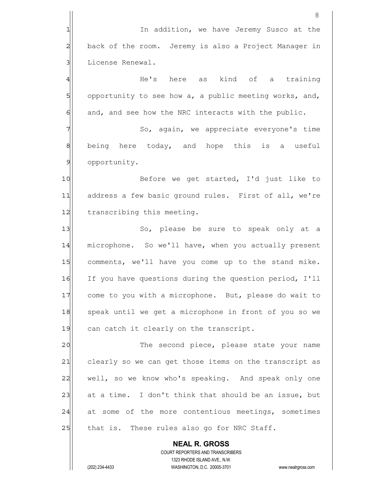**NEAL R. GROSS** COURT REPORTERS AND TRANSCRIBERS 1323 RHODE ISLAND AVE., N.W. 8 1 1 In addition, we have Jeremy Susco at the 2 back of the room. Jeremy is also a Project Manager in 3 License Renewal. 4 He's here as kind of a training 5 opportunity to see how a, a public meeting works, and,  $6$  and, and see how the NRC interacts with the public. 7 | So, again, we appreciate everyone's time 8 8 being here today, and hope this is a useful 9 opportunity. 10 Before we get started, I'd just like to 11 address a few basic ground rules. First of all, we're 12 transcribing this meeting. 13 So, please be sure to speak only at a 14 microphone. So we'll have, when you actually present 15 comments, we'll have you come up to the stand mike. 16 If you have questions during the question period, I'll 17 come to you with a microphone. But, please do wait to 18 speak until we get a microphone in front of you so we 19 can catch it clearly on the transcript. 20 The second piece, please state your name 21 clearly so we can get those items on the transcript as 22 well, so we know who's speaking. And speak only one 23 at a time. I don't think that should be an issue, but 24 at some of the more contentious meetings, sometimes 25 that is. These rules also go for NRC Staff.

(202) 234-4433 WASHINGTON, D.C. 20005-3701 www.nealrgross.com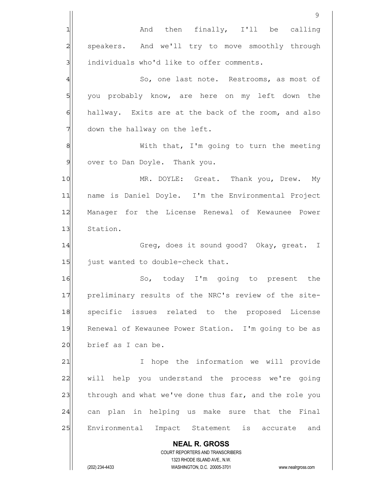|                | 9                                                                   |
|----------------|---------------------------------------------------------------------|
| 1              | And then finally, I'll be calling                                   |
| $\overline{c}$ | speakers. And we'll try to move smoothly through                    |
| 3              | individuals who'd like to offer comments.                           |
| 4              | So, one last note. Restrooms, as most of                            |
| 5              | you probably know, are here on my left down the                     |
| 6              | hallway. Exits are at the back of the room, and also                |
| 7              | down the hallway on the left.                                       |
| 8              | With that, I'm going to turn the meeting                            |
| $\mathcal{Q}$  | over to Dan Doyle. Thank you.                                       |
| 10             | MR. DOYLE: Great. Thank you, Drew. My                               |
| 11             | name is Daniel Doyle. I'm the Environmental Project                 |
| 12             | Manager for the License Renewal of Kewaunee Power                   |
| 13             | Station.                                                            |
| 14             | Greg, does it sound good? Okay, great. I                            |
| 15             | just wanted to double-check that.                                   |
| 16             | So, today I'm going to present the                                  |
| 17             | preliminary results of the NRC's review of the site-                |
| 18             | specific issues related to the proposed License                     |
| 19             | Renewal of Kewaunee Power Station. I'm going to be as               |
| 20             | brief as I can be.                                                  |
| 21             | hope the information we will provide<br>I                           |
| 22             | will help you understand the process we're going                    |
| 23             | through and what we've done thus far, and the role you              |
| 24             | can plan in helping us make sure that the Final                     |
| 25             | Environmental Impact Statement is accurate and                      |
|                | <b>NEAL R. GROSS</b>                                                |
|                | COURT REPORTERS AND TRANSCRIBERS<br>1323 RHODE ISLAND AVE., N.W.    |
|                | (202) 234-4433<br>WASHINGTON, D.C. 20005-3701<br>www.nealrgross.com |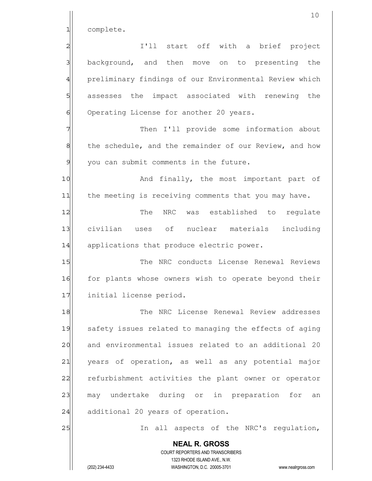1 complete.

 **NEAL R. GROSS** COURT REPORTERS AND TRANSCRIBERS 1323 RHODE ISLAND AVE., N.W. (202) 234-4433 WASHINGTON, D.C. 20005-3701 www.nealrgross.com 2 all 20 I'll start off with a brief project 3 3 background, and then move on to presenting the 4 preliminary findings of our Environmental Review which 5 s 5 assesses the impact associated with renewing the 6 Operating License for another 20 years. 7 Then I'll provide some information about 8 the schedule, and the remainder of our Review, and how  $9$  you can submit comments in the future. 10 And finally, the most important part of 11 the meeting is receiving comments that you may have. 12 The NRC was established to requlate 13 civilian uses of nuclear materials including 14 applications that produce electric power. 15 The NRC conducts License Renewal Reviews 16 for plants whose owners wish to operate beyond their 17 initial license period. 18 || The NRC License Renewal Review addresses 19 safety issues related to managing the effects of aging 20 and environmental issues related to an additional 20 21 years of operation, as well as any potential major 22 refurbishment activities the plant owner or operator 23 may undertake during or in preparation for an 24 additional 20 years of operation. 25 and 25 In all aspects of the NRC's regulation,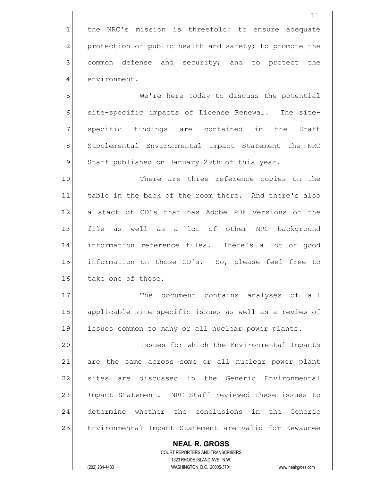1 the NRC's mission is threefold: to ensure adequate 2 protection of public health and safety; to promote the 3 3 common defense and security; and to protect the 4 environment.

5 SWE're here today to discuss the potential 6 site-specific impacts of License Renewal. The site-7 | specific findings are contained in the Draft 8 Supplemental Environmental Impact Statement the NRC 9 Staff published on January 29th of this year.

10 There are three reference copies on the 11 table in the back of the room there. And there's also 12 a stack of CD's that has Adobe PDF versions of the 13 file as well as a lot of other NRC background 14 information reference files. There's a lot of good 15 information on those CD's. So, please feel free to 16 take one of those.

17 The document contains analyses of all 18 applicable site-specific issues as well as a review of 19 issues common to many or all nuclear power plants.

20 | Issues for which the Environmental Impacts 21 are the same across some or all nuclear power plant 22 sites are discussed in the Generic Environmental 23 Impact Statement. NRC Staff reviewed these issues to 24 determine whether the conclusions in the Generic 25 Environmental Impact Statement are valid for Kewaunee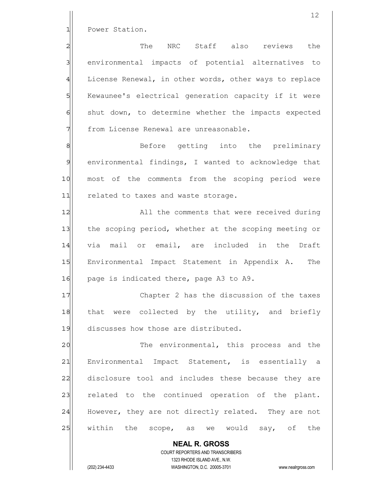1 Power Station.

2 The NRC Staff also reviews the 3 3 and alternatives to impacts of potential alternatives to 4 License Renewal, in other words, other ways to replace 5 | Kewaunee's electrical generation capacity if it were 6 shut down, to determine whether the impacts expected 7 Trom License Renewal are unreasonable.

8 8 Before getting into the preliminary 9 environmental findings, I wanted to acknowledge that 10 most of the comments from the scoping period were 11 related to taxes and waste storage.

12 All the comments that were received during 13 the scoping period, whether at the scoping meeting or 14 via mail or email, are included in the Draft 15 Environmental Impact Statement in Appendix A. The 16 page is indicated there, page A3 to A9.

17 Chapter 2 has the discussion of the taxes 18 that were collected by the utility, and briefly 19 discusses how those are distributed.

20 The environmental, this process and the 21 Environmental Impact Statement, is essentially a 22 disclosure tool and includes these because they are 23 related to the continued operation of the plant. 24 However, they are not directly related. They are not 25 within the scope, as we would say, of the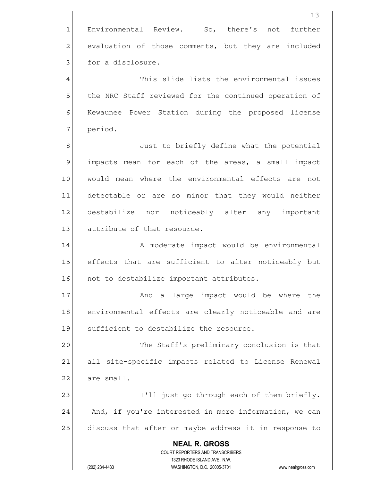**NEAL R. GROSS** COURT REPORTERS AND TRANSCRIBERS 1323 RHODE ISLAND AVE., N.W. (202) 234-4433 WASHINGTON, D.C. 20005-3701 www.nealrgross.com 13 1 Environmental Review. So, there's not further 2 evaluation of those comments, but they are included 3 **Solution** for a disclosure. 4 This slide lists the environmental issues 5 5 5 5 5 the NRC Staff reviewed for the continued operation of 6 Kewaunee Power Station during the proposed license 7 period. 8 8 Just to briefly define what the potential 9 impacts mean for each of the areas, a small impact 10 would mean where the environmental effects are not 11 detectable or are so minor that they would neither 12 destabilize nor noticeably alter any important 13 attribute of that resource. 14 | A moderate impact would be environmental 15 effects that are sufficient to alter noticeably but 16 not to destabilize important attributes. 17 and a large impact would be where the 18 environmental effects are clearly noticeable and are 19 sufficient to destabilize the resource. 20 The Staff's preliminary conclusion is that 21 all site-specific impacts related to License Renewal  $22$  are small. 23 and 1'll just go through each of them briefly. 24 And, if you're interested in more information, we can 25 discuss that after or maybe address it in response to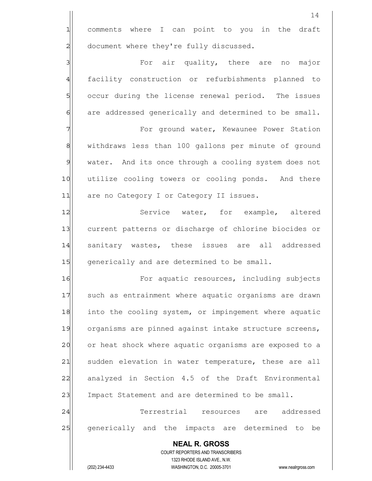1 comments where I can point to you in the draft 2 document where they're fully discussed. 3 | Sor air quality, there are no major

4 facility construction or refurbishments planned to 5 5 occur during the license renewal period. The issues 6 6 6 are addressed generically and determined to be small.

7 | The Ground water, Kewaunee Power Station 8 8 withdraws less than 100 gallons per minute of ground 9 water. And its once through a cooling system does not 10 utilize cooling towers or cooling ponds. And there 11 are no Category I or Category II issues.

12 Service water, for example, altered 13 current patterns or discharge of chlorine biocides or 14 sanitary wastes, these issues are all addressed 15 | generically and are determined to be small.

16 For aquatic resources, including subjects 17 such as entrainment where aquatic organisms are drawn 18 into the cooling system, or impingement where aquatic 19 organisms are pinned against intake structure screens, 20 or heat shock where aquatic organisms are exposed to a 21 sudden elevation in water temperature, these are all 22 analyzed in Section 4.5 of the Draft Environmental 23 Impact Statement and are determined to be small.

24 Terrestrial resources are addressed 25 generically and the impacts are determined to be

 **NEAL R. GROSS** COURT REPORTERS AND TRANSCRIBERS 1323 RHODE ISLAND AVE., N.W. (202) 234-4433 WASHINGTON, D.C. 20005-3701 www.nealrgross.com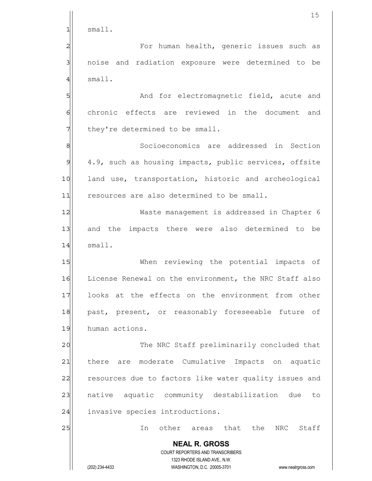|               | 15                                                                  |
|---------------|---------------------------------------------------------------------|
| 1             | small.                                                              |
| 2             | For human health, generic issues such as                            |
| 3             | noise and radiation exposure were determined to be                  |
| 4             | small.                                                              |
| 5             | And for electromagnetic field, acute and                            |
| 6             | chronic effects are reviewed in the document and                    |
|               | they're determined to be small.                                     |
| 8             | Socioeconomics are addressed in Section                             |
| $\mathcal{G}$ | 4.9, such as housing impacts, public services, offsite              |
| 10            | land use, transportation, historic and archeological                |
| 11            | resources are also determined to be small.                          |
| 12            | Waste management is addressed in Chapter 6                          |
| 13            | and the impacts there were also determined to be                    |
| 14            | small.                                                              |
| 15            | When reviewing the potential impacts of                             |
| 16            | License Renewal on the environment, the NRC Staff also              |
| 17            | looks at the effects on the environment from other                  |
| 18            | past, present, or reasonably foreseeable future of                  |
| 19            | human actions.                                                      |
| 20            | The NRC Staff preliminarily concluded that                          |
| 21            | are moderate Cumulative Impacts on aquatic<br>there                 |
| 22            | resources due to factors like water quality issues and              |
| 23            | native aquatic community destabilization due<br>to                  |
| 24            | invasive species introductions.                                     |
| 25            | other areas that<br>the NRC Staff<br>In                             |
|               | <b>NEAL R. GROSS</b>                                                |
|               | COURT REPORTERS AND TRANSCRIBERS<br>1323 RHODE ISLAND AVE., N.W.    |
|               | (202) 234-4433<br>WASHINGTON, D.C. 20005-3701<br>www.nealrgross.com |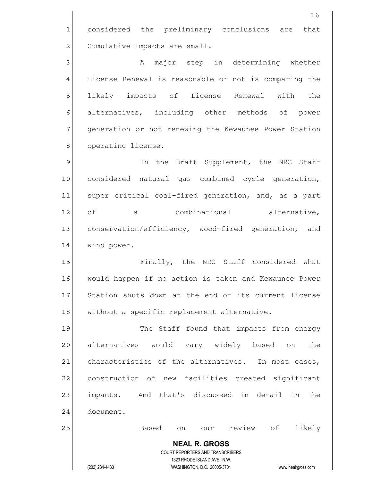**NEAL R. GROSS** COURT REPORTERS AND TRANSCRIBERS 1323 RHODE ISLAND AVE., N.W. (202) 234-4433 WASHINGTON, D.C. 20005-3701 www.nealrgross.com 16 1 considered the preliminary conclusions are that 2 Cumulative Impacts are small. 3 3 A major step in determining whether 4 License Renewal is reasonable or not is comparing the 5 SI likely impacts of License Renewal with the 6 || alternatives, including other methods of power 7 9 7 generation or not renewing the Kewaunee Power Station 8 operating license. 9 9 In the Draft Supplement, the NRC Staff 10 considered natural gas combined cycle generation, 11 super critical coal-fired generation, and, as a part 12 of a combinational alternative, 13 conservation/efficiency, wood-fired generation, and 14 wind power. 15 **Finally, the NRC Staff considered what** 16 would happen if no action is taken and Kewaunee Power 17 Station shuts down at the end of its current license 18 without a specific replacement alternative. 19 The Staff found that impacts from energy 20 alternatives would vary widely based on the 21 characteristics of the alternatives. In most cases, 22 construction of new facilities created significant 23 impacts. And that's discussed in detail in the 24 document. 25 Based on our review of likely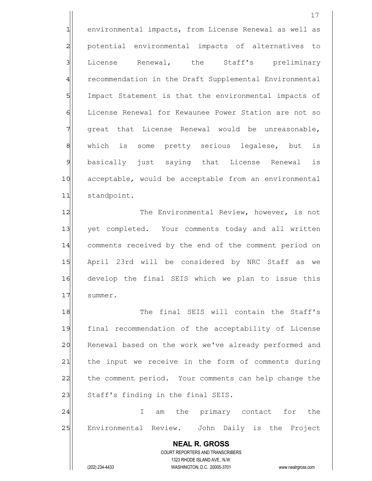1 environmental impacts, from License Renewal as well as 2 | potential environmental impacts of alternatives to 3 Iicense Renewal, the Staff's preliminary 4 recommendation in the Draft Supplemental Environmental 5 | Impact Statement is that the environmental impacts of 6 License Renewal for Kewaunee Power Station are not so 7 great that License Renewal would be unreasonable, 8 | which is some pretty serious legalese, but is 9 basically just saying that License Renewal is 10 acceptable, would be acceptable from an environmental 11 standpoint. 12 The Environmental Review, however, is not 13 yet completed. Your comments today and all written 14 comments received by the end of the comment period on 15 April 23rd will be considered by NRC Staff as we

16 develop the final SEIS which we plan to issue this 17 summer.

18 The final SEIS will contain the Staff's 19 final recommendation of the acceptability of License 20 Renewal based on the work we've already performed and 21 the input we receive in the form of comments during 22 the comment period. Your comments can help change the 23 Staff's finding in the final SEIS.

24 I am the primary contact for the 25 Environmental Review. John Daily is the Project

 **NEAL R. GROSS** COURT REPORTERS AND TRANSCRIBERS 1323 RHODE ISLAND AVE., N.W. (202) 234-4433 WASHINGTON, D.C. 20005-3701 www.nealrgross.com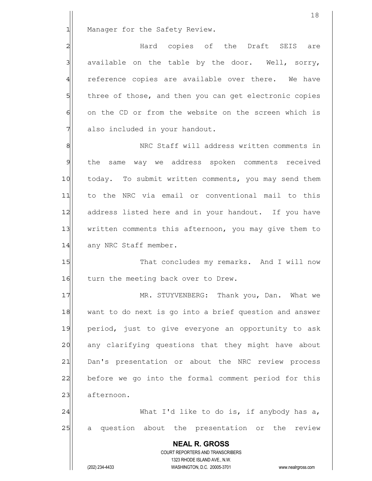1 Manager for the Safety Review.

2 and the Draft SEIS are and the Draft SEIS are  $3$  available on the table by the door. Well, sorry, 4 reference copies are available over there. We have 5 5 5 5 three of those, and then you can get electronic copies 6 on the CD or from the website on the screen which is 7 also included in your handout.

8 8 NRC Staff will address written comments in 9 the same way we address spoken comments received 10 today. To submit written comments, you may send them 11| to the NRC via email or conventional mail to this 12 address listed here and in your handout. If you have 13 written comments this afternoon, you may give them to 14 any NRC Staff member.

15 That concludes my remarks. And I will now 16 turn the meeting back over to Drew.

17 MR. STUYVENBERG: Thank you, Dan. What we 18 want to do next is go into a brief question and answer 19 period, just to give everyone an opportunity to ask 20 any clarifying questions that they might have about 21 Dan's presentation or about the NRC review process 22 before we go into the formal comment period for this 23 afternoon.

24 What I'd like to do is, if anybody has a, 25 a question about the presentation or the review

 **NEAL R. GROSS** COURT REPORTERS AND TRANSCRIBERS 1323 RHODE ISLAND AVE., N.W. (202) 234-4433 WASHINGTON, D.C. 20005-3701 www.nealrgross.com